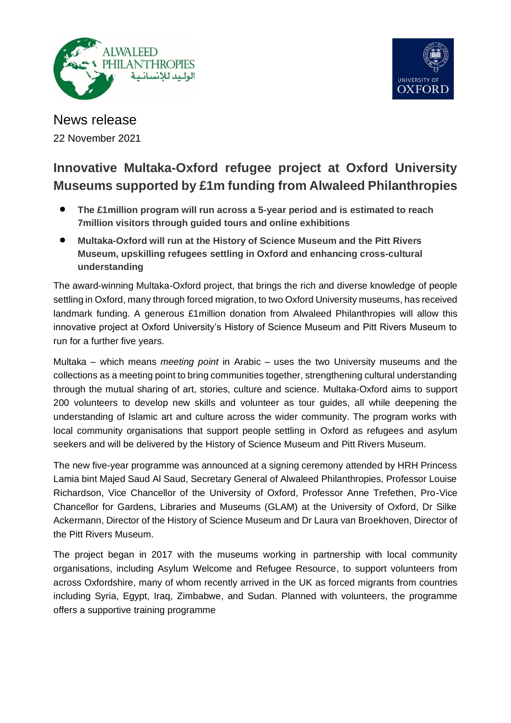



News release 22 November 2021

# **Innovative Multaka-Oxford refugee project at Oxford University Museums supported by £1m funding from Alwaleed Philanthropies**

- **The £1million program will run across a 5-year period and is estimated to reach 7million visitors through guided tours and online exhibitions**
- **Multaka-Oxford will run at the History of Science Museum and the Pitt Rivers Museum, upskilling refugees settling in Oxford and enhancing cross-cultural understanding**

The award-winning Multaka-Oxford project, that brings the rich and diverse knowledge of people settling in Oxford, many through forced migration, to two Oxford University museums, has received landmark funding. A generous £1million donation from Alwaleed Philanthropies will allow this innovative project at Oxford University's History of Science Museum and Pitt Rivers Museum to run for a further five years.

Multaka – which means *meeting point* in Arabic – uses the two University museums and the collections as a meeting point to bring communities together, strengthening cultural understanding through the mutual sharing of art, stories, culture and science. Multaka-Oxford aims to support 200 volunteers to develop new skills and volunteer as tour guides, all while deepening the understanding of Islamic art and culture across the wider community. The program works with local community organisations that support people settling in Oxford as refugees and asylum seekers and will be delivered by the History of Science Museum and Pitt Rivers Museum.

The new five-year programme was announced at a signing ceremony attended by HRH Princess Lamia bint Majed Saud Al Saud, Secretary General of Alwaleed Philanthropies, Professor Louise Richardson, Vice Chancellor of the University of Oxford, Professor Anne Trefethen, Pro-Vice Chancellor for Gardens, Libraries and Museums (GLAM) at the University of Oxford, Dr Silke Ackermann, Director of the History of Science Museum and Dr Laura van Broekhoven, Director of the Pitt Rivers Museum.

The project began in 2017 with the museums working in partnership with local community organisations, including Asylum Welcome and Refugee Resource, to support volunteers from across Oxfordshire, many of whom recently arrived in the UK as forced migrants from countries including Syria, Egypt, Iraq, Zimbabwe, and Sudan. Planned with volunteers, the programme offers a supportive training programme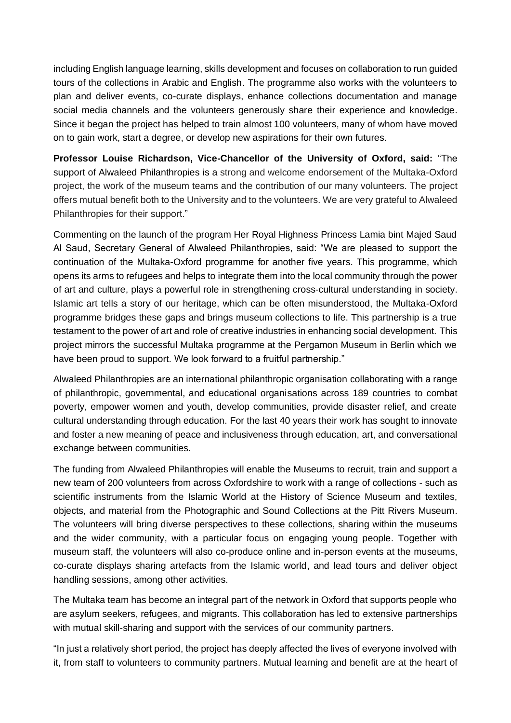including English language learning, skills development and focuses on collaboration to run guided tours of the collections in Arabic and English. The programme also works with the volunteers to plan and deliver events, co-curate displays, enhance collections documentation and manage social media channels and the volunteers generously share their experience and knowledge. Since it began the project has helped to train almost 100 volunteers, many of whom have moved on to gain work, start a degree, or develop new aspirations for their own futures.

**Professor Louise Richardson, Vice-Chancellor of the University of Oxford, said:** "The support of Alwaleed Philanthropies is a strong and welcome endorsement of the Multaka-Oxford project, the work of the museum teams and the contribution of our many volunteers. The project offers mutual benefit both to the University and to the volunteers. We are very grateful to Alwaleed Philanthropies for their support."

Commenting on the launch of the program Her Royal Highness Princess Lamia bint Majed Saud Al Saud, Secretary General of Alwaleed Philanthropies, said: "We are pleased to support the continuation of the Multaka-Oxford programme for another five years. This programme, which opens its arms to refugees and helps to integrate them into the local community through the power of art and culture, plays a powerful role in strengthening cross-cultural understanding in society. Islamic art tells a story of our heritage, which can be often misunderstood, the Multaka-Oxford programme bridges these gaps and brings museum collections to life. This partnership is a true testament to the power of art and role of creative industries in enhancing social development. This project mirrors the successful Multaka programme at the Pergamon Museum in Berlin which we have been proud to support. We look forward to a fruitful partnership."

Alwaleed Philanthropies are an international philanthropic organisation collaborating with a range of philanthropic, governmental, and educational organisations across 189 countries to combat poverty, empower women and youth, develop communities, provide disaster relief, and create cultural understanding through education. For the last 40 years their work has sought to innovate and foster a new meaning of peace and inclusiveness through education, art, and conversational exchange between communities.

The funding from Alwaleed Philanthropies will enable the Museums to recruit, train and support a new team of 200 volunteers from across Oxfordshire to work with a range of collections - such as scientific instruments from the Islamic World at the History of Science Museum and textiles, objects, and material from the Photographic and Sound Collections at the Pitt Rivers Museum. The volunteers will bring diverse perspectives to these collections, sharing within the museums and the wider community, with a particular focus on engaging young people. Together with museum staff, the volunteers will also co-produce online and in-person events at the museums, co-curate displays sharing artefacts from the Islamic world, and lead tours and deliver object handling sessions, among other activities.

The Multaka team has become an integral part of the network in Oxford that supports people who are asylum seekers, refugees, and migrants. This collaboration has led to extensive partnerships with mutual skill-sharing and support with the services of our community partners.

"In just a relatively short period, the project has deeply affected the lives of everyone involved with it, from staff to volunteers to community partners. Mutual learning and benefit are at the heart of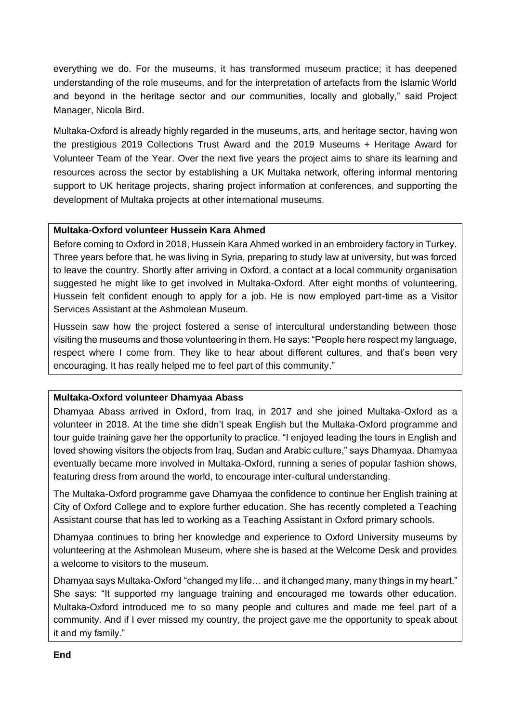everything we do. For the museums, it has transformed museum practice; it has deepened understanding of the role museums, and for the interpretation of artefacts from the Islamic World and beyond in the heritage sector and our communities, locally and globally," said Project Manager, Nicola Bird.

Multaka-Oxford is already highly regarded in the museums, arts, and heritage sector, having won the prestigious 2019 Collections Trust Award and the 2019 Museums + Heritage Award for Volunteer Team of the Year. Over the next five years the project aims to share its learning and resources across the sector by establishing a UK Multaka network, offering informal mentoring support to UK heritage projects, sharing project information at conferences, and supporting the development of Multaka projects at other international museums.

## **Multaka-Oxford volunteer Hussein Kara Ahmed**

Before coming to Oxford in 2018, Hussein Kara Ahmed worked in an embroidery factory in Turkey. Three years before that, he was living in Syria, preparing to study law at university, but was forced to leave the country. Shortly after arriving in Oxford, a contact at a local community organisation suggested he might like to get involved in Multaka-Oxford. After eight months of volunteering, Hussein felt confident enough to apply for a job. He is now employed part-time as a Visitor Services Assistant at the Ashmolean Museum.

Hussein saw how the project fostered a sense of intercultural understanding between those visiting the museums and those volunteering in them. He says: "People here respect my language, respect where I come from. They like to hear about different cultures, and that's been very encouraging. It has really helped me to feel part of this community."

### **Multaka-Oxford volunteer Dhamyaa Abass**

Dhamyaa Abass arrived in Oxford, from Iraq, in 2017 and she joined Multaka-Oxford as a volunteer in 2018. At the time she didn't speak English but the Multaka-Oxford programme and tour guide training gave her the opportunity to practice. "I enjoyed leading the tours in English and loved showing visitors the objects from Iraq, Sudan and Arabic culture," says Dhamyaa. Dhamyaa eventually became more involved in Multaka-Oxford, running a series of popular fashion shows, featuring dress from around the world, to encourage inter-cultural understanding.

The Multaka-Oxford programme gave Dhamyaa the confidence to continue her English training at City of Oxford College and to explore further education. She has recently completed a Teaching Assistant course that has led to working as a Teaching Assistant in Oxford primary schools.

Dhamyaa continues to bring her knowledge and experience to Oxford University museums by volunteering at the Ashmolean Museum, where she is based at the Welcome Desk and provides a welcome to visitors to the museum.

Dhamyaa says Multaka-Oxford "changed my life… and it changed many, many things in my heart." She says: "It supported my language training and encouraged me towards other education. Multaka-Oxford introduced me to so many people and cultures and made me feel part of a community. And if I ever missed my country, the project gave me the opportunity to speak about it and my family."